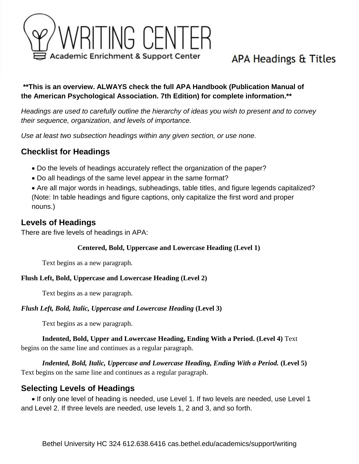

# APA Headings & Titles

### **\*\*This is an overview. ALWAYS check the full APA Handbook (Publication Manual of the American Psychological Association. 7th Edition) for complete information.\*\***

*Headings are used to carefully outline the hierarchy of ideas you wish to present and to convey their sequence, organization, and levels of importance.* 

*Use at least two subsection headings within any given section, or use none.*

# **Checklist for Headings**

- Do the levels of headings accurately reflect the organization of the paper?
- Do all headings of the same level appear in the same format?
- Are all major words in headings, subheadings, table titles, and figure legends capitalized? (Note: In table headings and figure captions, only capitalize the first word and proper nouns.)

### **Levels of Headings**

There are five levels of headings in APA:

#### **Centered, Bold, Uppercase and Lowercase Heading (Level 1)**

Text begins as a new paragraph.

#### **Flush Left, Bold, Uppercase and Lowercase Heading (Level 2)**

Text begins as a new paragraph.

#### *Flush Left, Bold, Italic, Uppercase and Lowercase Heading* **(Level 3)**

Text begins as a new paragraph.

#### **Indented, Bold, Upper and Lowercase Heading, Ending With a Period. (Level 4)** Text begins on the same line and continues as a regular paragraph.

*Indented, Bold, Italic, Uppercase and Lowercase Heading, Ending With a Period.* **(Level 5)** Text begins on the same line and continues as a regular paragraph.

### **Selecting Levels of Headings**

• If only one level of heading is needed, use Level 1. If two levels are needed, use Level 1 and Level 2. If three levels are needed, use levels 1, 2 and 3, and so forth.